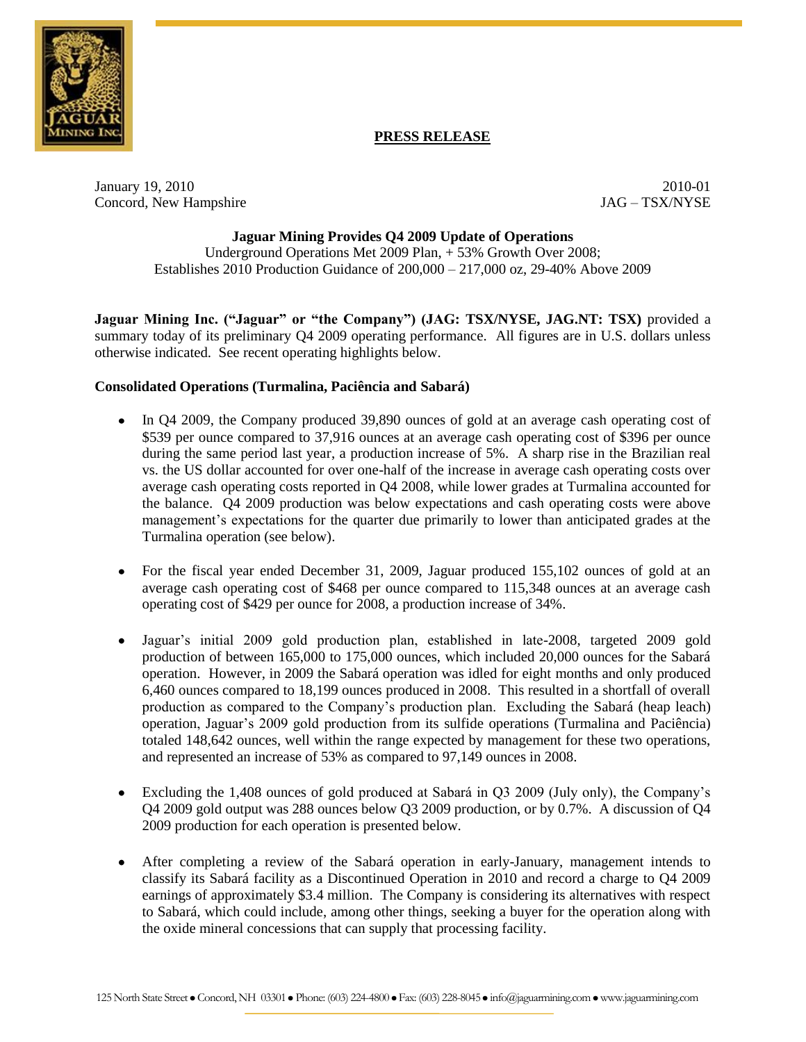

# **PRESS RELEASE**

January 19, 2010<br>
Concord. New Hampshire and Concord Concord. New Hampshire and Concord Concord. New Hampshire and Concord Concorder and Concorder and Concorder and Concorder and Concorder and Concorder and Concorder and C Concord, New Hampshire

## **Jaguar Mining Provides Q4 2009 Update of Operations**

Underground Operations Met 2009 Plan, + 53% Growth Over 2008; Establishes 2010 Production Guidance of 200,000 – 217,000 oz, 29-40% Above 2009

**Jaguar Mining Inc. ("Jaguar" or "the Company") (JAG: TSX/NYSE, JAG.NT: TSX)** provided a summary today of its preliminary Q4 2009 operating performance. All figures are in U.S. dollars unless otherwise indicated. See recent operating highlights below.

#### **Consolidated Operations (Turmalina, Paciência and Sabará)**

- In Q4 2009, the Company produced 39,890 ounces of gold at an average cash operating cost of \$539 per ounce compared to 37,916 ounces at an average cash operating cost of \$396 per ounce during the same period last year, a production increase of 5%. A sharp rise in the Brazilian real vs. the US dollar accounted for over one-half of the increase in average cash operating costs over average cash operating costs reported in Q4 2008, while lower grades at Turmalina accounted for the balance. Q4 2009 production was below expectations and cash operating costs were above management's expectations for the quarter due primarily to lower than anticipated grades at the Turmalina operation (see below).
- For the fiscal year ended December 31, 2009, Jaguar produced 155,102 ounces of gold at an average cash operating cost of \$468 per ounce compared to 115,348 ounces at an average cash operating cost of \$429 per ounce for 2008, a production increase of 34%.
- Jaguar's initial 2009 gold production plan, established in late-2008, targeted 2009 gold production of between 165,000 to 175,000 ounces, which included 20,000 ounces for the Sabará operation. However, in 2009 the Sabará operation was idled for eight months and only produced 6,460 ounces compared to 18,199 ounces produced in 2008. This resulted in a shortfall of overall production as compared to the Company's production plan. Excluding the Sabará (heap leach) operation, Jaguar's 2009 gold production from its sulfide operations (Turmalina and Paciência) totaled 148,642 ounces, well within the range expected by management for these two operations, and represented an increase of 53% as compared to 97,149 ounces in 2008.
- Excluding the 1,408 ounces of gold produced at Sabará in Q3 2009 (July only), the Company's Q4 2009 gold output was 288 ounces below Q3 2009 production, or by 0.7%. A discussion of Q4 2009 production for each operation is presented below.
- After completing a review of the Sabará operation in early-January, management intends to classify its Sabará facility as a Discontinued Operation in 2010 and record a charge to Q4 2009 earnings of approximately \$3.4 million. The Company is considering its alternatives with respect to Sabará, which could include, among other things, seeking a buyer for the operation along with the oxide mineral concessions that can supply that processing facility.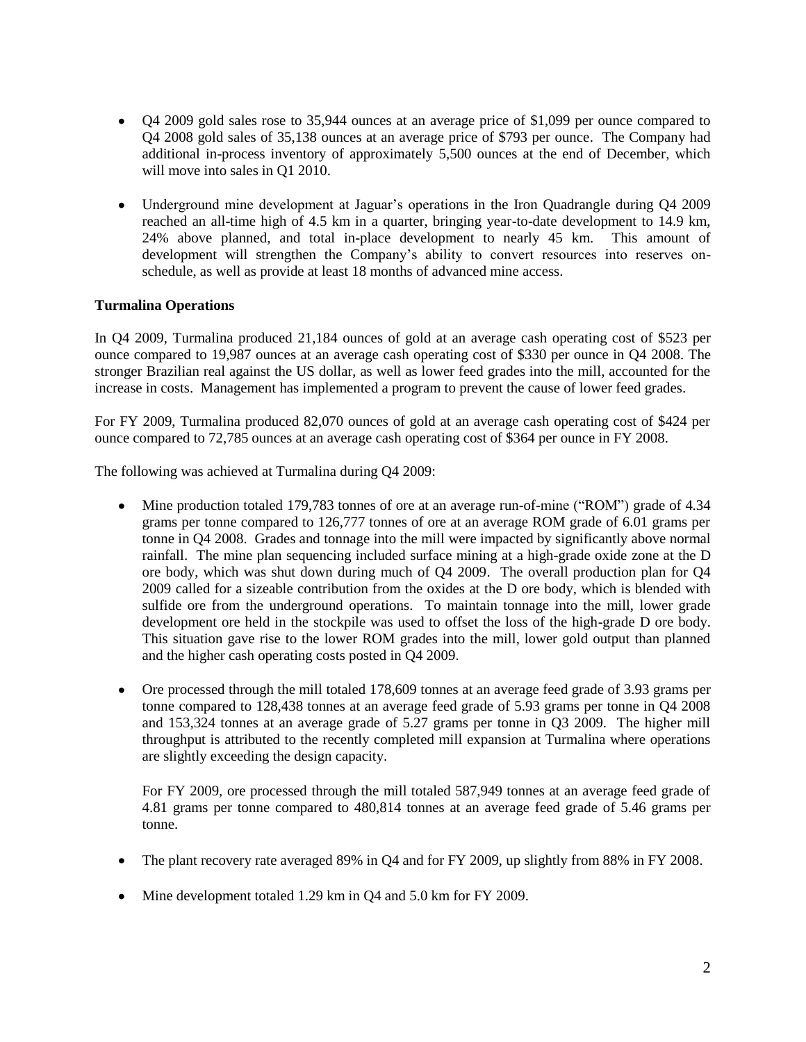- Q4 2009 gold sales rose to 35,944 ounces at an average price of \$1,099 per ounce compared to Q4 2008 gold sales of 35,138 ounces at an average price of \$793 per ounce. The Company had additional in-process inventory of approximately 5,500 ounces at the end of December, which will move into sales in Q1 2010.
- Underground mine development at Jaguar's operations in the Iron Quadrangle during Q4 2009 reached an all-time high of 4.5 km in a quarter, bringing year-to-date development to 14.9 km, 24% above planned, and total in-place development to nearly 45 km. This amount of development will strengthen the Company's ability to convert resources into reserves onschedule, as well as provide at least 18 months of advanced mine access.

## **Turmalina Operations**

In Q4 2009, Turmalina produced 21,184 ounces of gold at an average cash operating cost of \$523 per ounce compared to 19,987 ounces at an average cash operating cost of \$330 per ounce in Q4 2008. The stronger Brazilian real against the US dollar, as well as lower feed grades into the mill, accounted for the increase in costs. Management has implemented a program to prevent the cause of lower feed grades.

For FY 2009, Turmalina produced 82,070 ounces of gold at an average cash operating cost of \$424 per ounce compared to 72,785 ounces at an average cash operating cost of \$364 per ounce in FY 2008.

The following was achieved at Turmalina during Q4 2009:

- Mine production totaled 179,783 tonnes of ore at an average run-of-mine ("ROM") grade of 4.34 grams per tonne compared to 126,777 tonnes of ore at an average ROM grade of 6.01 grams per tonne in Q4 2008. Grades and tonnage into the mill were impacted by significantly above normal rainfall. The mine plan sequencing included surface mining at a high-grade oxide zone at the D ore body, which was shut down during much of Q4 2009. The overall production plan for Q4 2009 called for a sizeable contribution from the oxides at the D ore body, which is blended with sulfide ore from the underground operations. To maintain tonnage into the mill, lower grade development ore held in the stockpile was used to offset the loss of the high-grade D ore body. This situation gave rise to the lower ROM grades into the mill, lower gold output than planned and the higher cash operating costs posted in Q4 2009.
- Ore processed through the mill totaled 178,609 tonnes at an average feed grade of 3.93 grams per tonne compared to 128,438 tonnes at an average feed grade of 5.93 grams per tonne in Q4 2008 and 153,324 tonnes at an average grade of 5.27 grams per tonne in Q3 2009. The higher mill throughput is attributed to the recently completed mill expansion at Turmalina where operations are slightly exceeding the design capacity.

For FY 2009, ore processed through the mill totaled 587,949 tonnes at an average feed grade of 4.81 grams per tonne compared to 480,814 tonnes at an average feed grade of 5.46 grams per tonne.

- The plant recovery rate averaged 89% in Q4 and for FY 2009, up slightly from 88% in FY 2008.  $\bullet$
- Mine development totaled 1.29 km in Q4 and 5.0 km for FY 2009.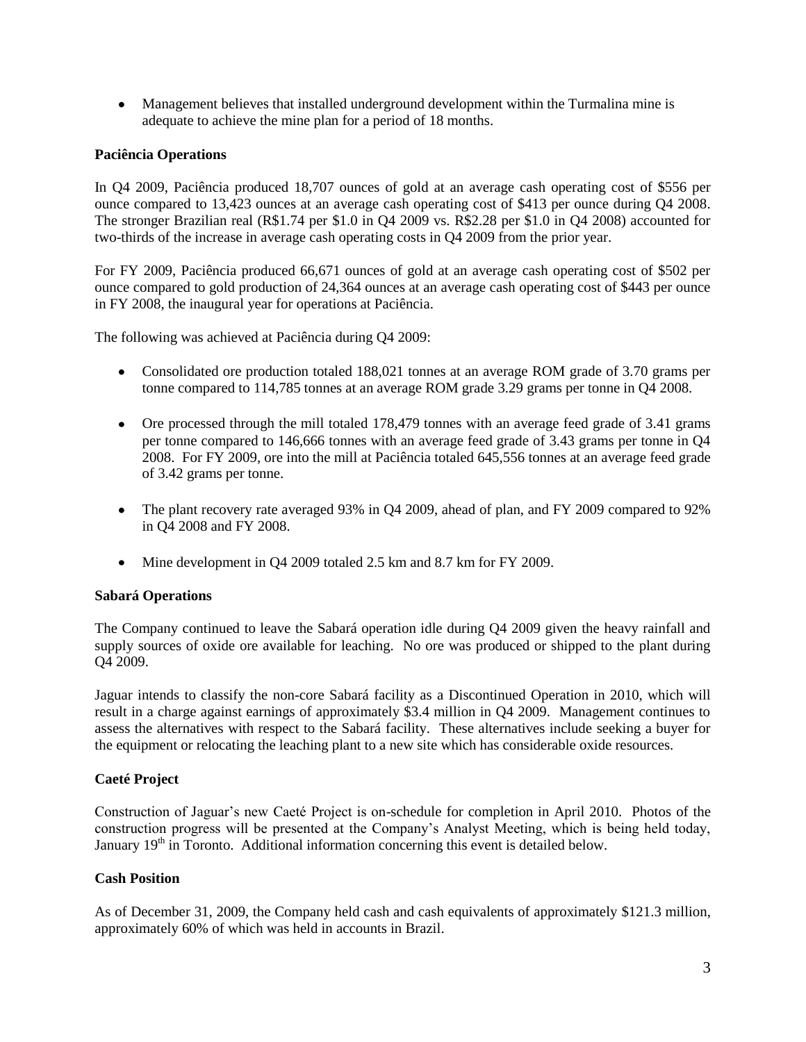Management believes that installed underground development within the Turmalina mine is adequate to achieve the mine plan for a period of 18 months.

## **Paciência Operations**

In Q4 2009, Paciência produced 18,707 ounces of gold at an average cash operating cost of \$556 per ounce compared to 13,423 ounces at an average cash operating cost of \$413 per ounce during Q4 2008. The stronger Brazilian real (R\$1.74 per \$1.0 in Q4 2009 vs. R\$2.28 per \$1.0 in Q4 2008) accounted for two-thirds of the increase in average cash operating costs in Q4 2009 from the prior year.

For FY 2009, Paciência produced 66,671 ounces of gold at an average cash operating cost of \$502 per ounce compared to gold production of 24,364 ounces at an average cash operating cost of \$443 per ounce in FY 2008, the inaugural year for operations at Paciência.

The following was achieved at Paciência during Q4 2009:

- Consolidated ore production totaled 188,021 tonnes at an average ROM grade of 3.70 grams per tonne compared to 114,785 tonnes at an average ROM grade 3.29 grams per tonne in Q4 2008.
- Ore processed through the mill totaled 178,479 tonnes with an average feed grade of 3.41 grams per tonne compared to 146,666 tonnes with an average feed grade of 3.43 grams per tonne in Q4 2008. For FY 2009, ore into the mill at Paciência totaled 645,556 tonnes at an average feed grade of 3.42 grams per tonne.
- The plant recovery rate averaged 93% in O4 2009, ahead of plan, and FY 2009 compared to 92% in Q4 2008 and FY 2008.
- Mine development in O4 2009 totaled 2.5 km and 8.7 km for FY 2009.

# **Sabará Operations**

The Company continued to leave the Sabará operation idle during Q4 2009 given the heavy rainfall and supply sources of oxide ore available for leaching. No ore was produced or shipped to the plant during Q4 2009.

Jaguar intends to classify the non-core Sabará facility as a Discontinued Operation in 2010, which will result in a charge against earnings of approximately \$3.4 million in Q4 2009. Management continues to assess the alternatives with respect to the Sabará facility. These alternatives include seeking a buyer for the equipment or relocating the leaching plant to a new site which has considerable oxide resources.

# **Caeté Project**

Construction of Jaguar's new Caeté Project is on-schedule for completion in April 2010. Photos of the construction progress will be presented at the Company's Analyst Meeting, which is being held today, January  $19<sup>th</sup>$  in Toronto. Additional information concerning this event is detailed below.

#### **Cash Position**

As of December 31, 2009, the Company held cash and cash equivalents of approximately \$121.3 million, approximately 60% of which was held in accounts in Brazil.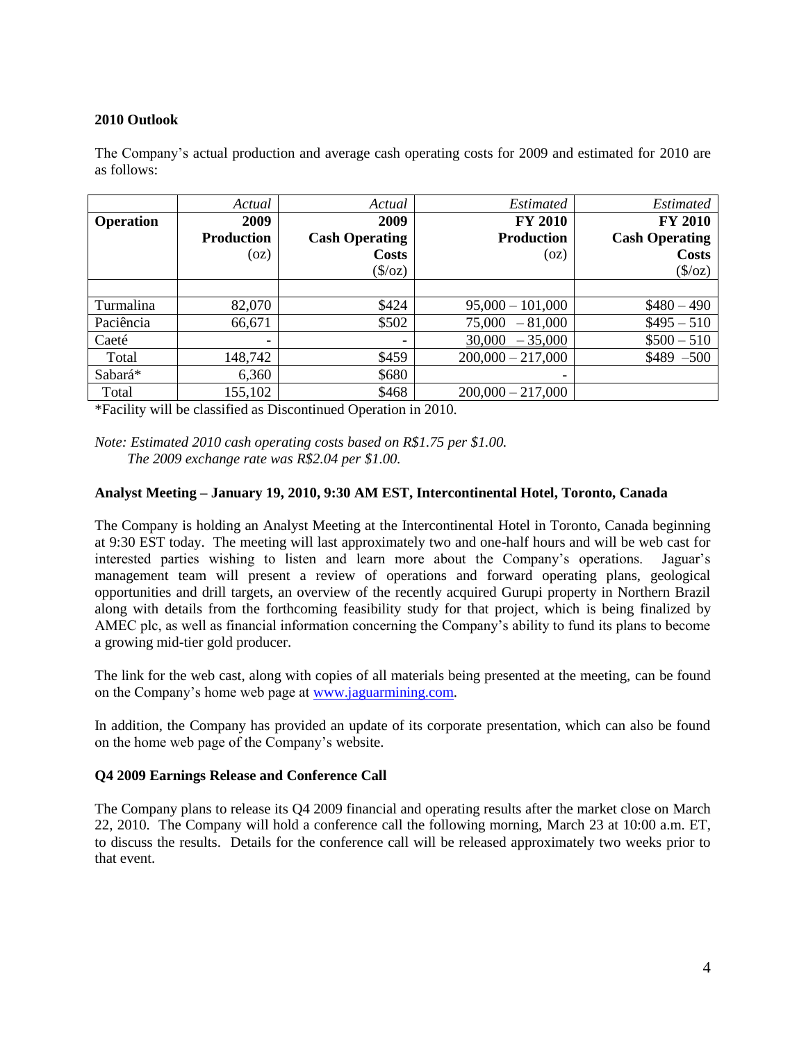## **2010 Outlook**

The Company's actual production and average cash operating costs for 2009 and estimated for 2010 are as follows:

|                  | Actual                   | Actual                   | <i>Estimated</i>    | <i>Estimated</i>       |
|------------------|--------------------------|--------------------------|---------------------|------------------------|
| <b>Operation</b> | 2009                     | 2009                     | <b>FY 2010</b>      | <b>FY 2010</b>         |
|                  | <b>Production</b>        | <b>Cash Operating</b>    | <b>Production</b>   | <b>Cash Operating</b>  |
|                  | (oz)                     | <b>Costs</b>             | (oz)                | <b>Costs</b>           |
|                  |                          | $(\frac{\sqrt{2}}{2})$   |                     | $(\frac{\sqrt{2}}{2})$ |
|                  |                          |                          |                     |                        |
| Turmalina        | 82,070                   | \$424                    | $95,000 - 101,000$  | $$480 - 490$           |
| Paciência        | 66,671                   | \$502                    | 75,000<br>$-81,000$ | $$495 - 510$           |
| Caeté            | $\overline{\phantom{0}}$ | $\overline{\phantom{0}}$ | 30,000<br>$-35,000$ | $$500 - 510$           |
| Total            | 148,742                  | \$459                    | $200,000 - 217,000$ | $$489 - 500$           |
| Sabará*          | 6,360                    | \$680                    |                     |                        |
| Total            | 155,102                  | \$468                    | $200,000 - 217,000$ |                        |

\*Facility will be classified as Discontinued Operation in 2010.

*Note: Estimated 2010 cash operating costs based on R\$1.75 per \$1.00. The 2009 exchange rate was R\$2.04 per \$1.00.*

#### **Analyst Meeting – January 19, 2010, 9:30 AM EST, Intercontinental Hotel, Toronto, Canada**

The Company is holding an Analyst Meeting at the Intercontinental Hotel in Toronto, Canada beginning at 9:30 EST today. The meeting will last approximately two and one-half hours and will be web cast for interested parties wishing to listen and learn more about the Company's operations. Jaguar's management team will present a review of operations and forward operating plans, geological opportunities and drill targets, an overview of the recently acquired Gurupi property in Northern Brazil along with details from the forthcoming feasibility study for that project, which is being finalized by AMEC plc, as well as financial information concerning the Company's ability to fund its plans to become a growing mid-tier gold producer.

The link for the web cast, along with copies of all materials being presented at the meeting, can be found on the Company's home web page at [www.jaguarmining.com.](http://www.jaguarmining.com/)

In addition, the Company has provided an update of its corporate presentation, which can also be found on the home web page of the Company's website.

#### **Q4 2009 Earnings Release and Conference Call**

The Company plans to release its Q4 2009 financial and operating results after the market close on March 22, 2010. The Company will hold a conference call the following morning, March 23 at 10:00 a.m. ET, to discuss the results. Details for the conference call will be released approximately two weeks prior to that event.